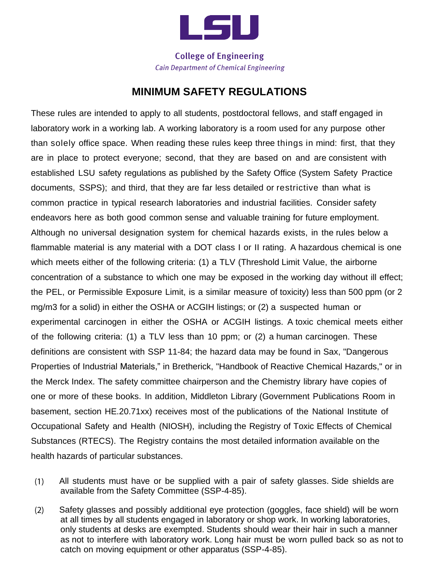

**College of Engineering Cain Department of Chemical Engineering** 

## **MINIMUM SAFETY REGULATIONS**

These rules are intended to apply to all students, postdoctoral fellows, and staff engaged in laboratory work in a working lab. A working laboratory is a room used for any purpose other than solely office space. When reading these rules keep three things in mind: first, that they are in place to protect everyone; second, that they are based on and are consistent with established LSU safety regulations as published by the Safety Office (System Safety Practice documents, SSPS); and third, that they are far less detailed or restrictive than what is common practice in typical research laboratories and industrial facilities. Consider safety endeavors here as both good common sense and valuable training for future employment. Although no universal designation system for chemical hazards exists, in the rules below a flammable material is any material with a DOT class I or II rating. A hazardous chemical is one which meets either of the following criteria: (1) a TLV (Threshold Limit Value, the airborne concentration of a substance to which one may be exposed in the working day without ill effect; the PEL, or Permissible Exposure Limit, is a similar measure of toxicity) less than 500 ppm (or 2 mg/m3 for a solid) in either the OSHA or ACGIH listings; or (2) a suspected human or experimental carcinogen in either the OSHA or ACGIH listings. A toxic chemical meets either of the following criteria: (1) a TLV less than 10 ppm; or (2) a human carcinogen. These definitions are consistent with SSP 11-84; the hazard data may be found in Sax, "Dangerous Properties of Industrial Materials," in Bretherick, "Handbook of Reactive Chemical Hazards," or in the Merck Index. The safety committee chairperson and the Chemistry library have copies of one or more of these books. In addition, Middleton Library (Government Publications Room in basement, section HE.20.71xx) receives most of the publications of the National Institute of Occupational Safety and Health (NIOSH), including the Registry of Toxic Effects of Chemical Substances (RTECS). The Registry contains the most detailed information available on the health hazards of particular substances.

- All students must have or be supplied with a pair of safety glasses. Side shields are  $(1)$ available from the Safety Committee (SSP-4-85).
- $(2)$ Safety glasses and possibly additional eye protection (goggles, face shield) will be worn at all times by all students engaged in laboratory or shop work. In working laboratories, only students at desks are exempted. Students should wear their hair in such a manner as not to interfere with laboratory work. Long hair must be worn pulled back so as not to catch on moving equipment or other apparatus (SSP-4-85).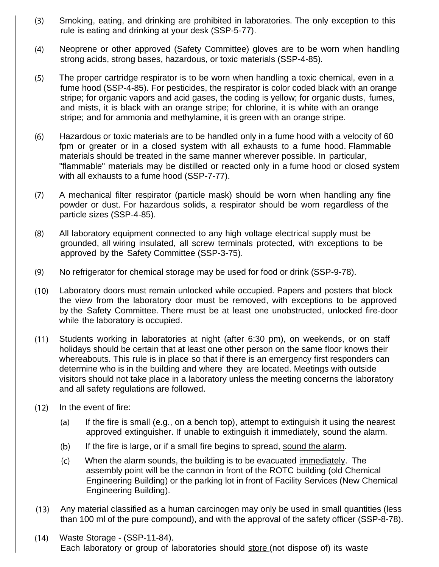- $(3)$ Smoking, eating, and drinking are prohibited in laboratories. The only exception to this rule is eating and drinking at your desk (SSP-5-77).
- $(4)$ Neoprene or other approved (Safety Committee) gloves are to be worn when handling strong acids, strong bases, hazardous, or toxic materials (SSP-4-85).
- The proper cartridge respirator is to be worn when handling a toxic chemical, even in a  $(5)$ fume hood (SSP-4-85). For pesticides, the respirator is color coded black with an orange stripe; for organic vapors and acid gases, the coding is yellow; for organic dusts, fumes, and mists, it is black with an orange stripe; for chlorine, it is white with an orange stripe; and for ammonia and methylamine, it is green with an orange stripe.
- $(6)$ Hazardous or toxic materials are to be handled only in a fume hood with a velocity of 60 fpm or greater or in a closed system with all exhausts to a fume hood. Flammable materials should be treated in the same manner wherever possible. In particular, "flammable" materials may be distilled or reacted only in a fume hood or closed system with all exhausts to a fume hood (SSP-7-77).
- A mechanical filter respirator (particle mask) should be worn when handling any fine  $(7)$ powder or dust. For hazardous solids, a respirator should be worn regardless of the particle sizes (SSP-4-85).
- $(8)$ All laboratory equipment connected to any high voltage electrical supply must be grounded, all wiring insulated, all screw terminals protected, with exceptions to be approved by the Safety Committee (SSP-3-75).
- $(9)$ No refrigerator for chemical storage may be used for food or drink (SSP-9-78).
- $(10)$ Laboratory doors must remain unlocked while occupied. Papers and posters that block the view from the laboratory door must be removed, with exceptions to be approved by the Safety Committee. There must be at least one unobstructed, unlocked fire-door while the laboratory is occupied.
- $(11)$ Students working in laboratories at night (after 6:30 pm), on weekends, or on staff holidays should be certain that at least one other person on the same floor knows their whereabouts. This rule is in place so that if there is an emergency first responders can determine who is in the building and where they are located. Meetings with outside visitors should not take place in a laboratory unless the meeting concerns the laboratory and all safety regulations are followed.
- $(12)$ In the event of fire:
	- $(a)$ If the fire is small (e.g., on a bench top), attempt to extinguish it using the nearest approved extinguisher. If unable to extinguish it immediately, sound the alarm.
	- $(b)$ If the fire is large, or if a small fire begins to spread, sound the alarm.
	- When the alarm sounds, the building is to be evacuated immediately. The  $(c)$ assembly point will be the cannon in front of the ROTC building (old Chemical Engineering Building) or the parking lot in front of Facility Services (New Chemical Engineering Building).
- Any material classified as a human carcinogen may only be used in small quantities (less  $(13)$ than 100 ml of the pure compound), and with the approval of the safety officer (SSP-8-78).
- Waste Storage (SSP-11-84).  $(14)$ Each laboratory or group of laboratories should store (not dispose of) its waste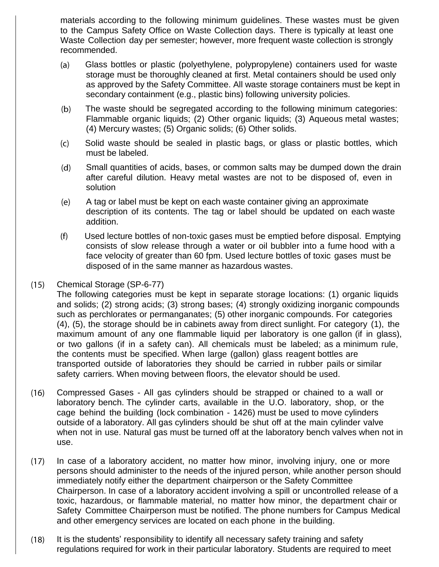materials according to the following minimum guidelines. These wastes must be given to the Campus Safety Office on Waste Collection days. There is typically at least one Waste Collection day per semester; however, more frequent waste collection is strongly recommended.

- $(a)$ Glass bottles or plastic (polyethylene, polypropylene) containers used for waste storage must be thoroughly cleaned at first. Metal containers should be used only as approved by the Safety Committee. All waste storage containers must be kept in secondary containment (e.g., plastic bins) following university policies.
- $(b)$ The waste should be segregated according to the following minimum categories: Flammable organic liquids; (2) Other organic liquids; (3) Aqueous metal wastes; (4) Mercury wastes; (5) Organic solids; (6) Other solids.
- $(c)$ Solid waste should be sealed in plastic bags, or glass or plastic bottles, which must be labeled.
- $(d)$ Small quantities of acids, bases, or common salts may be dumped down the drain after careful dilution. Heavy metal wastes are not to be disposed of, even in solution
- $(e)$ A tag or label must be kept on each waste container giving an approximate description of its contents. The tag or label should be updated on each waste addition.
- $(f)$ Used lecture bottles of non-toxic gases must be emptied before disposal. Emptying consists of slow release through a water or oil bubbler into a fume hood with a face velocity of greater than 60 fpm. Used lecture bottles of toxic gases must be disposed of in the same manner as hazardous wastes.
- Chemical Storage (SP-6-77)  $(15)$

The following categories must be kept in separate storage locations: (1) organic liquids and solids; (2) strong acids; (3) strong bases; (4) strongly oxidizing inorganic compounds such as perchlorates or permanganates; (5) other inorganic compounds. For categories (4), (5), the storage should be in cabinets away from direct sunlight. For category (1), the maximum amount of any one flammable liquid per laboratory is one gallon (if in glass), or two gallons (if in a safety can). All chemicals must be labeled; as a minimum rule, the contents must be specified. When large (gallon) glass reagent bottles are transported outside of laboratories they should be carried in rubber pails or similar safety carriers. When moving between floors, the elevator should be used.

- $(16)$ Compressed Gases - All gas cylinders should be strapped or chained to a wall or laboratory bench. The cylinder carts, available in the U.O. laboratory, shop, or the cage behind the building (lock combination - 1426) must be used to move cylinders outside of a laboratory. All gas cylinders should be shut off at the main cylinder valve when not in use. Natural gas must be turned off at the laboratory bench valves when not in use.
- $(17)$ In case of a laboratory accident, no matter how minor, involving injury, one or more persons should administer to the needs of the injured person, while another person should immediately notify either the department chairperson or the Safety Committee Chairperson. In case of a laboratory accident involving a spill or uncontrolled release of a toxic, hazardous, or flammable material, no matter how minor, the department chair or Safety Committee Chairperson must be notified. The phone numbers for Campus Medical and other emergency services are located on each phone in the building.
- $(18)$ It is the students' responsibility to identify all necessary safety training and safety regulations required for work in their particular laboratory. Students are required to meet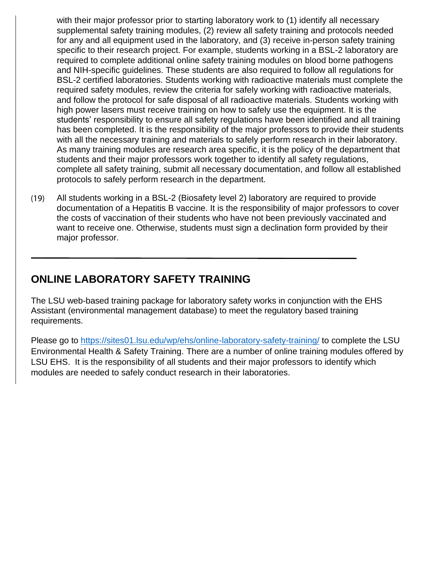with their major professor prior to starting laboratory work to (1) identify all necessary supplemental safety training modules, (2) review all safety training and protocols needed for any and all equipment used in the laboratory, and (3) receive in-person safety training specific to their research project. For example, students working in a BSL-2 laboratory are required to complete additional online safety training modules on blood borne pathogens and NIH-specific guidelines. These students are also required to follow all regulations for BSL-2 certified laboratories. Students working with radioactive materials must complete the required safety modules, review the criteria for safely working with radioactive materials, and follow the protocol for safe disposal of all radioactive materials. Students working with high power lasers must receive training on how to safely use the equipment. It is the students' responsibility to ensure all safety regulations have been identified and all training has been completed. It is the responsibility of the major professors to provide their students with all the necessary training and materials to safely perform research in their laboratory. As many training modules are research area specific, it is the policy of the department that students and their major professors work together to identify all safety regulations, complete all safety training, submit all necessary documentation, and follow all established protocols to safely perform research in the department.

 $(19)$ All students working in a BSL-2 (Biosafety level 2) laboratory are required to provide documentation of a Hepatitis B vaccine. It is the responsibility of major professors to cover the costs of vaccination of their students who have not been previously vaccinated and want to receive one. Otherwise, students must sign a declination form provided by their major professor.

## **ONLINE LABORATORY SAFETY TRAINING**

The LSU web-based training package for laboratory safety works in conjunction with the EHS Assistant (environmental management database) to meet the regulatory based training requirements.

Please go to<https://sites01.lsu.edu/wp/ehs/online-laboratory-safety-training/> to complete the LSU Environmental Health & Safety Training. There are a number of online training modules offered by LSU EHS. It is the responsibility of all students and their major professors to identify which modules are needed to safely conduct research in their laboratories.